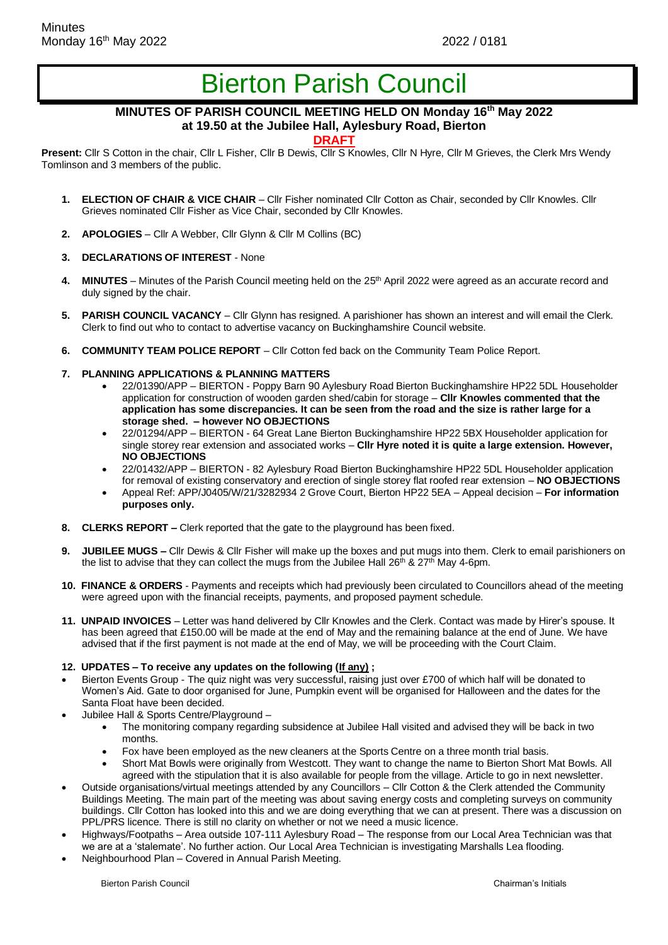# Bierton Parish Council

## **MINUTES OF PARISH COUNCIL MEETING HELD ON Monday 16th May 2022 at 19.50 at the Jubilee Hall, Aylesbury Road, Bierton**

### **DRAFT**

**Present:** Cllr S Cotton in the chair, Cllr L Fisher, Cllr B Dewis, Cllr S Knowles, Cllr N Hyre, Cllr M Grieves, the Clerk Mrs Wendy Tomlinson and 3 members of the public.

- **1. ELECTION OF CHAIR & VICE CHAIR**  Cllr Fisher nominated Cllr Cotton as Chair, seconded by Cllr Knowles. Cllr Grieves nominated Cllr Fisher as Vice Chair, seconded by Cllr Knowles.
- **2. APOLOGIES**  Cllr A Webber, Cllr Glynn & Cllr M Collins (BC)
- **3. DECLARATIONS OF INTEREST**  None
- 4. MINUTES Minutes of the Parish Council meeting held on the 25<sup>th</sup> April 2022 were agreed as an accurate record and duly signed by the chair.
- **5. PARISH COUNCIL VACANCY** Cllr Glynn has resigned. A parishioner has shown an interest and will email the Clerk. Clerk to find out who to contact to advertise vacancy on Buckinghamshire Council website.
- **6. COMMUNITY TEAM POLICE REPORT** Cllr Cotton fed back on the Community Team Police Report.
- **7. PLANNING APPLICATIONS & PLANNING MATTERS**
	- 22/01390/APP BIERTON Poppy Barn 90 Aylesbury Road Bierton Buckinghamshire HP22 5DL Householder application for construction of wooden garden shed/cabin for storage – **Cllr Knowles commented that the application has some discrepancies. It can be seen from the road and the size is rather large for a storage shed. – however NO OBJECTIONS**
	- 22/01294/APP BIERTON 64 Great Lane Bierton Buckinghamshire HP22 5BX Householder application for single storey rear extension and associated works – **Cllr Hyre noted it is quite a large extension. However, NO OBJECTIONS**
	- 22/01432/APP BIERTON 82 Aylesbury Road Bierton Buckinghamshire HP22 5DL Householder application for removal of existing conservatory and erection of single storey flat roofed rear extension – **NO OBJECTIONS**
	- Appeal Ref: APP/J0405/W/21/3282934 2 Grove Court, Bierton HP22 5EA Appeal decision **For information purposes only.**
- **8. CLERKS REPORT –** Clerk reported that the gate to the playground has been fixed.
- **9. JUBILEE MUGS –** Cllr Dewis & Cllr Fisher will make up the boxes and put mugs into them. Clerk to email parishioners on the list to advise that they can collect the mugs from the Jubilee Hall  $26<sup>th</sup>$  &  $27<sup>th</sup>$  May 4-6pm.
- **10. FINANCE & ORDERS**  Payments and receipts which had previously been circulated to Councillors ahead of the meeting were agreed upon with the financial receipts, payments, and proposed payment schedule.
- **11. UNPAID INVOICES** Letter was hand delivered by Cllr Knowles and the Clerk. Contact was made by Hirer's spouse. It has been agreed that £150.00 will be made at the end of May and the remaining balance at the end of June. We have advised that if the first payment is not made at the end of May, we will be proceeding with the Court Claim.
- **12. UPDATES – To receive any updates on the following (If any) ;**
- Bierton Events Group The quiz night was very successful, raising just over £700 of which half will be donated to Women's Aid. Gate to door organised for June, Pumpkin event will be organised for Halloween and the dates for the Santa Float have been decided.
- Jubilee Hall & Sports Centre/Playground
	- The monitoring company regarding subsidence at Jubilee Hall visited and advised they will be back in two months.
	- Fox have been employed as the new cleaners at the Sports Centre on a three month trial basis.
	- Short Mat Bowls were originally from Westcott. They want to change the name to Bierton Short Mat Bowls. All agreed with the stipulation that it is also available for people from the village. Article to go in next newsletter.
- Outside organisations/virtual meetings attended by any Councillors Cllr Cotton & the Clerk attended the Community Buildings Meeting. The main part of the meeting was about saving energy costs and completing surveys on community buildings. Cllr Cotton has looked into this and we are doing everything that we can at present. There was a discussion on PPL/PRS licence. There is still no clarity on whether or not we need a music licence.
- Highways/Footpaths Area outside 107-111 Aylesbury Road The response from our Local Area Technician was that we are at a 'stalemate'. No further action. Our Local Area Technician is investigating Marshalls Lea flooding.
- Neighbourhood Plan Covered in Annual Parish Meeting.